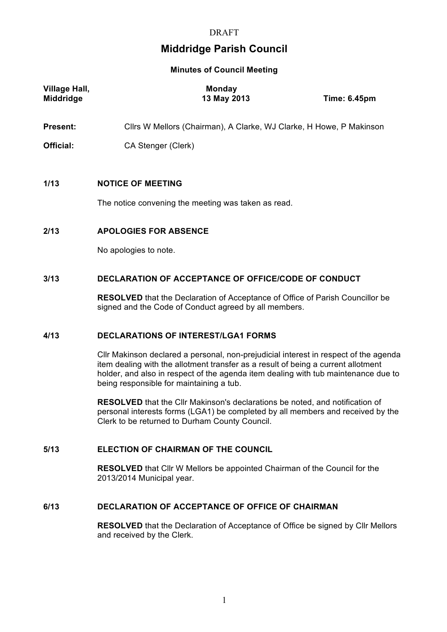# **DRAFT**

# **Middridge Parish Council**

#### **Minutes of Council Meeting**

| Village Hall,<br><b>Middridge</b> | <b>Monday</b><br>13 May 2013                                                    | <b>Time: 6.45pm</b> |
|-----------------------------------|---------------------------------------------------------------------------------|---------------------|
| <b>Present:</b>                   | Cllrs W Mellors (Chairman), A Clarke, WJ Clarke, H Howe, P Makinson             |                     |
| Official:                         | CA Stenger (Clerk)                                                              |                     |
| 1/13                              | <b>NOTICE OF MEETING</b><br>The notice convening the meeting was taken as read. |                     |
| 2/13                              | <b>APOLOGIES FOR ABSENCE</b><br>No apologies to note.                           |                     |

# **3/13 DECLARATION OF ACCEPTANCE OF OFFICE/CODE OF CONDUCT**

**RESOLVED** that the Declaration of Acceptance of Office of Parish Councillor be signed and the Code of Conduct agreed by all members.

# **4/13 DECLARATIONS OF INTEREST/LGA1 FORMS**

Cllr Makinson declared a personal, non-prejudicial interest in respect of the agenda item dealing with the allotment transfer as a result of being a current allotment holder, and also in respect of the agenda item dealing with tub maintenance due to being responsible for maintaining a tub.

**RESOLVED** that the Cllr Makinson's declarations be noted, and notification of personal interests forms (LGA1) be completed by all members and received by the Clerk to be returned to Durham County Council.

### **5/13 ELECTION OF CHAIRMAN OF THE COUNCIL**

**RESOLVED** that Cllr W Mellors be appointed Chairman of the Council for the 2013/2014 Municipal year.

#### **6/13 DECLARATION OF ACCEPTANCE OF OFFICE OF CHAIRMAN**

**RESOLVED** that the Declaration of Acceptance of Office be signed by Cllr Mellors and received by the Clerk.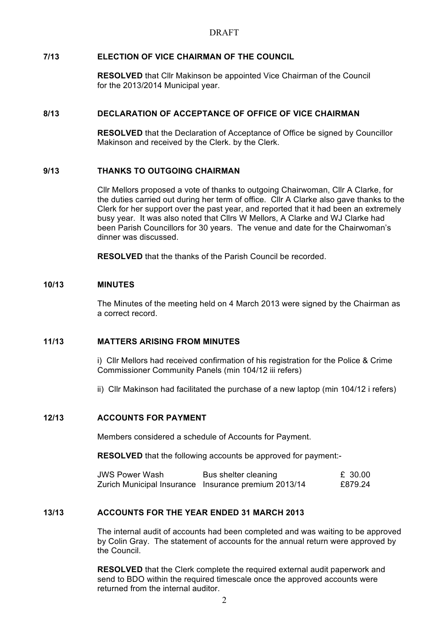### **7/13 ELECTION OF VICE CHAIRMAN OF THE COUNCIL**

**RESOLVED** that Cllr Makinson be appointed Vice Chairman of the Council for the 2013/2014 Municipal year.

#### **8/13 DECLARATION OF ACCEPTANCE OF OFFICE OF VICE CHAIRMAN**

**RESOLVED** that the Declaration of Acceptance of Office be signed by Councillor Makinson and received by the Clerk. by the Clerk.

# **9/13 THANKS TO OUTGOING CHAIRMAN**

Cllr Mellors proposed a vote of thanks to outgoing Chairwoman, Cllr A Clarke, for the duties carried out during her term of office. Cllr A Clarke also gave thanks to the Clerk for her support over the past year, and reported that it had been an extremely busy year. It was also noted that Cllrs W Mellors, A Clarke and WJ Clarke had been Parish Councillors for 30 years. The venue and date for the Chairwoman's dinner was discussed.

**RESOLVED** that the thanks of the Parish Council be recorded.

#### **10/13 MINUTES**

The Minutes of the meeting held on 4 March 2013 were signed by the Chairman as a correct record.

### **11/13 MATTERS ARISING FROM MINUTES**

i) Cllr Mellors had received confirmation of his registration for the Police & Crime Commissioner Community Panels (min 104/12 iii refers)

ii) Cllr Makinson had facilitated the purchase of a new laptop (min 104/12 i refers)

#### **12/13 ACCOUNTS FOR PAYMENT**

Members considered a schedule of Accounts for Payment.

**RESOLVED** that the following accounts be approved for payment:-

| <b>JWS Power Wash</b> | Bus shelter cleaning                                 | £ 30.00 |
|-----------------------|------------------------------------------------------|---------|
|                       | Zurich Municipal Insurance Insurance premium 2013/14 | £879.24 |

#### **13/13 ACCOUNTS FOR THE YEAR ENDED 31 MARCH 2013**

The internal audit of accounts had been completed and was waiting to be approved by Colin Gray. The statement of accounts for the annual return were approved by the Council.

**RESOLVED** that the Clerk complete the required external audit paperwork and send to BDO within the required timescale once the approved accounts were returned from the internal auditor.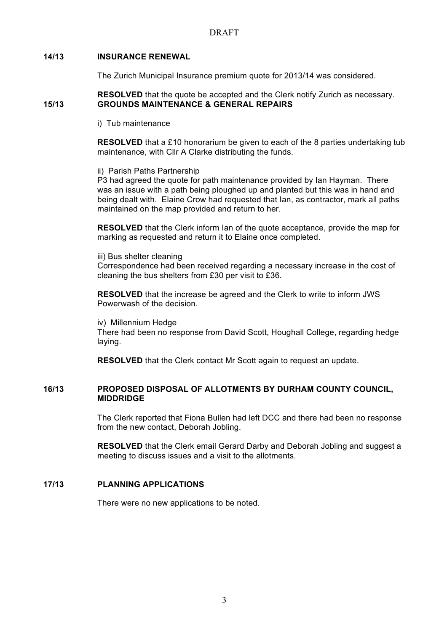#### **14/13 INSURANCE RENEWAL**

The Zurich Municipal Insurance premium quote for 2013/14 was considered.

#### **RESOLVED** that the quote be accepted and the Clerk notify Zurich as necessary. **15/13 GROUNDS MAINTENANCE & GENERAL REPAIRS**

i) Tub maintenance

**RESOLVED** that a £10 honorarium be given to each of the 8 parties undertaking tub maintenance, with Cllr A Clarke distributing the funds.

ii) Parish Paths Partnership

P3 had agreed the quote for path maintenance provided by Ian Hayman. There was an issue with a path being ploughed up and planted but this was in hand and being dealt with. Elaine Crow had requested that Ian, as contractor, mark all paths maintained on the map provided and return to her.

**RESOLVED** that the Clerk inform Ian of the quote acceptance, provide the map for marking as requested and return it to Elaine once completed.

iii) Bus shelter cleaning Correspondence had been received regarding a necessary increase in the cost of cleaning the bus shelters from £30 per visit to £36.

**RESOLVED** that the increase be agreed and the Clerk to write to inform JWS Powerwash of the decision.

iv) Millennium Hedge There had been no response from David Scott, Houghall College, regarding hedge laying.

**RESOLVED** that the Clerk contact Mr Scott again to request an update.

#### **16/13 PROPOSED DISPOSAL OF ALLOTMENTS BY DURHAM COUNTY COUNCIL, MIDDRIDGE**

The Clerk reported that Fiona Bullen had left DCC and there had been no response from the new contact, Deborah Jobling.

**RESOLVED** that the Clerk email Gerard Darby and Deborah Jobling and suggest a meeting to discuss issues and a visit to the allotments.

# **17/13 PLANNING APPLICATIONS**

There were no new applications to be noted.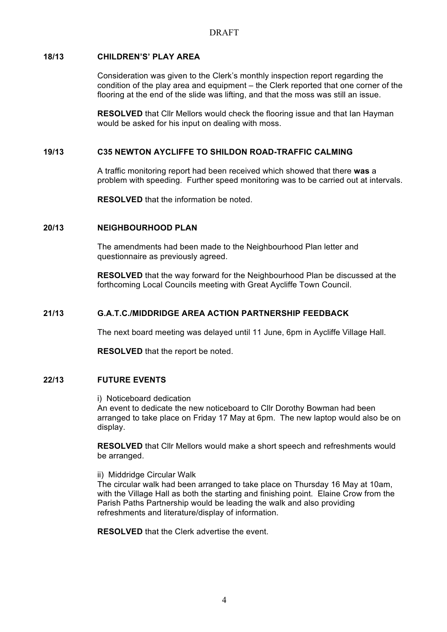### **18/13 CHILDREN'S' PLAY AREA**

Consideration was given to the Clerk's monthly inspection report regarding the condition of the play area and equipment – the Clerk reported that one corner of the flooring at the end of the slide was lifting, and that the moss was still an issue.

**RESOLVED** that Cllr Mellors would check the flooring issue and that Ian Hayman would be asked for his input on dealing with moss.

### **19/13 C35 NEWTON AYCLIFFE TO SHILDON ROAD-TRAFFIC CALMING**

A traffic monitoring report had been received which showed that there **was** a problem with speeding. Further speed monitoring was to be carried out at intervals.

**RESOLVED** that the information be noted.

# **20/13 NEIGHBOURHOOD PLAN**

The amendments had been made to the Neighbourhood Plan letter and questionnaire as previously agreed.

**RESOLVED** that the way forward for the Neighbourhood Plan be discussed at the forthcoming Local Councils meeting with Great Aycliffe Town Council.

### **21/13 G.A.T.C./MIDDRIDGE AREA ACTION PARTNERSHIP FEEDBACK**

The next board meeting was delayed until 11 June, 6pm in Aycliffe Village Hall.

**RESOLVED** that the report be noted.

#### **22/13 FUTURE EVENTS**

i) Noticeboard dedication

An event to dedicate the new noticeboard to Cllr Dorothy Bowman had been arranged to take place on Friday 17 May at 6pm. The new laptop would also be on display.

**RESOLVED** that Cllr Mellors would make a short speech and refreshments would be arranged.

ii) Middridge Circular Walk

The circular walk had been arranged to take place on Thursday 16 May at 10am, with the Village Hall as both the starting and finishing point. Elaine Crow from the Parish Paths Partnership would be leading the walk and also providing refreshments and literature/display of information.

**RESOLVED** that the Clerk advertise the event.